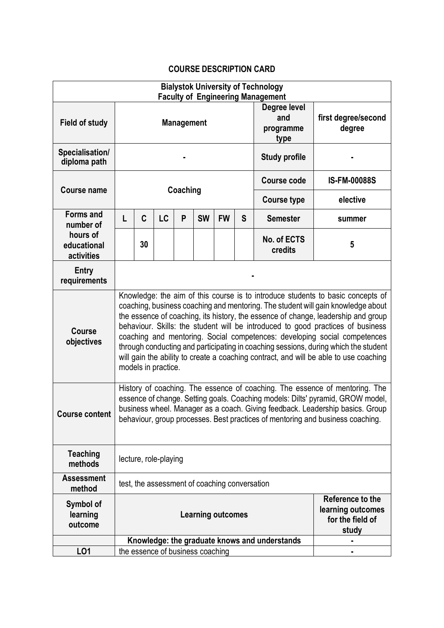## **COURSE DESCRIPTION CARD**

| <b>Bialystok University of Technology</b><br><b>Faculty of Engineering Management</b> |                                                                                                                                                                                                                                                                                                                                                                                                                                                                                                                                                                                                                                 |    |    |          |           |                                       |                    |                                          |                               |
|---------------------------------------------------------------------------------------|---------------------------------------------------------------------------------------------------------------------------------------------------------------------------------------------------------------------------------------------------------------------------------------------------------------------------------------------------------------------------------------------------------------------------------------------------------------------------------------------------------------------------------------------------------------------------------------------------------------------------------|----|----|----------|-----------|---------------------------------------|--------------------|------------------------------------------|-------------------------------|
| <b>Field of study</b>                                                                 | <b>Management</b>                                                                                                                                                                                                                                                                                                                                                                                                                                                                                                                                                                                                               |    |    |          |           |                                       |                    | Degree level<br>and<br>programme<br>type | first degree/second<br>degree |
| Specialisation/<br>diploma path                                                       |                                                                                                                                                                                                                                                                                                                                                                                                                                                                                                                                                                                                                                 |    |    |          |           |                                       |                    | <b>Study profile</b>                     |                               |
| <b>Course name</b>                                                                    |                                                                                                                                                                                                                                                                                                                                                                                                                                                                                                                                                                                                                                 |    |    | Coaching |           |                                       | <b>Course code</b> | <b>IS-FM-00088S</b>                      |                               |
|                                                                                       |                                                                                                                                                                                                                                                                                                                                                                                                                                                                                                                                                                                                                                 |    |    |          |           |                                       | <b>Course type</b> | elective                                 |                               |
| Forms and<br>number of                                                                | L                                                                                                                                                                                                                                                                                                                                                                                                                                                                                                                                                                                                                               | C  | LC | P        | <b>SW</b> | <b>FW</b>                             | S                  | <b>Semester</b>                          | summer                        |
| hours of<br>educational<br>activities                                                 |                                                                                                                                                                                                                                                                                                                                                                                                                                                                                                                                                                                                                                 | 30 |    |          |           |                                       |                    | No. of ECTS<br>credits                   | 5                             |
| Entry<br>requirements                                                                 |                                                                                                                                                                                                                                                                                                                                                                                                                                                                                                                                                                                                                                 |    |    |          |           |                                       |                    |                                          |                               |
| <b>Course</b><br>objectives                                                           | Knowledge: the aim of this course is to introduce students to basic concepts of<br>coaching, business coaching and mentoring. The student will gain knowledge about<br>the essence of coaching, its history, the essence of change, leadership and group<br>behaviour. Skills: the student will be introduced to good practices of business<br>coaching and mentoring. Social competences: developing social competences<br>through conducting and participating in coaching sessions, during which the student<br>will gain the ability to create a coaching contract, and will be able to use coaching<br>models in practice. |    |    |          |           |                                       |                    |                                          |                               |
| Course content                                                                        | History of coaching. The essence of coaching. The essence of mentoring. The<br>essence of change. Setting goals. Coaching models: Dilts' pyramid, GROW model,<br>business wheel. Manager as a coach. Giving feedback. Leadership basics. Group<br>behaviour, group processes. Best practices of mentoring and business coaching.                                                                                                                                                                                                                                                                                                |    |    |          |           |                                       |                    |                                          |                               |
| <b>Teaching</b><br>methods                                                            | lecture, role-playing                                                                                                                                                                                                                                                                                                                                                                                                                                                                                                                                                                                                           |    |    |          |           |                                       |                    |                                          |                               |
| <b>Assessment</b><br>method                                                           | test, the assessment of coaching conversation                                                                                                                                                                                                                                                                                                                                                                                                                                                                                                                                                                                   |    |    |          |           |                                       |                    |                                          |                               |
| Symbol of<br>learning<br>outcome                                                      | <b>Learning outcomes</b><br>for the field of<br>study                                                                                                                                                                                                                                                                                                                                                                                                                                                                                                                                                                           |    |    |          |           | Reference to the<br>learning outcomes |                    |                                          |                               |
|                                                                                       | Knowledge: the graduate knows and understands                                                                                                                                                                                                                                                                                                                                                                                                                                                                                                                                                                                   |    |    |          |           |                                       |                    |                                          |                               |
| LO1                                                                                   | the essence of business coaching                                                                                                                                                                                                                                                                                                                                                                                                                                                                                                                                                                                                |    |    |          |           |                                       |                    |                                          |                               |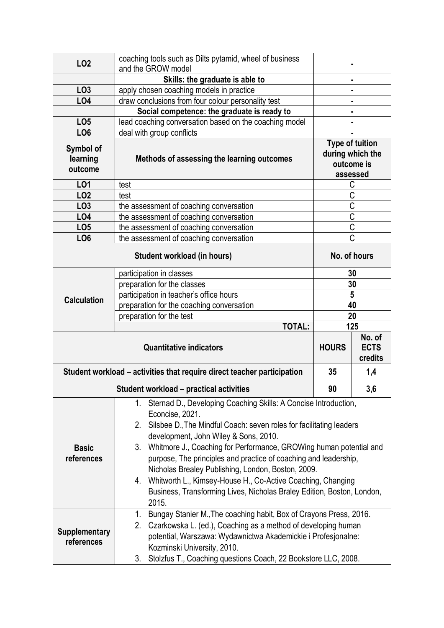| LO <sub>2</sub>                                                         | coaching tools such as Dilts pytamid, wheel of business                                                                                                                                                                                                                                                                                                                                                                                                                                                                                                                   |                                                  |                  |  |  |  |
|-------------------------------------------------------------------------|---------------------------------------------------------------------------------------------------------------------------------------------------------------------------------------------------------------------------------------------------------------------------------------------------------------------------------------------------------------------------------------------------------------------------------------------------------------------------------------------------------------------------------------------------------------------------|--------------------------------------------------|------------------|--|--|--|
|                                                                         | and the GROW model                                                                                                                                                                                                                                                                                                                                                                                                                                                                                                                                                        |                                                  |                  |  |  |  |
|                                                                         | Skills: the graduate is able to                                                                                                                                                                                                                                                                                                                                                                                                                                                                                                                                           |                                                  |                  |  |  |  |
| LO <sub>3</sub>                                                         | apply chosen coaching models in practice                                                                                                                                                                                                                                                                                                                                                                                                                                                                                                                                  |                                                  | ٠                |  |  |  |
| <b>LO4</b>                                                              | draw conclusions from four colour personality test                                                                                                                                                                                                                                                                                                                                                                                                                                                                                                                        |                                                  |                  |  |  |  |
|                                                                         | Social competence: the graduate is ready to                                                                                                                                                                                                                                                                                                                                                                                                                                                                                                                               |                                                  |                  |  |  |  |
| LO <sub>5</sub>                                                         | lead coaching conversation based on the coaching model                                                                                                                                                                                                                                                                                                                                                                                                                                                                                                                    |                                                  |                  |  |  |  |
| LO <sub>6</sub>                                                         | deal with group conflicts                                                                                                                                                                                                                                                                                                                                                                                                                                                                                                                                                 |                                                  |                  |  |  |  |
| Symbol of<br>learning<br>outcome                                        | Methods of assessing the learning outcomes                                                                                                                                                                                                                                                                                                                                                                                                                                                                                                                                | <b>Type of tuition</b><br>outcome is<br>assessed | during which the |  |  |  |
| LO1                                                                     | test                                                                                                                                                                                                                                                                                                                                                                                                                                                                                                                                                                      | С                                                |                  |  |  |  |
| LO <sub>2</sub>                                                         | test                                                                                                                                                                                                                                                                                                                                                                                                                                                                                                                                                                      | C                                                |                  |  |  |  |
| LO <sub>3</sub>                                                         | the assessment of coaching conversation                                                                                                                                                                                                                                                                                                                                                                                                                                                                                                                                   | $\frac{C}{C}$                                    |                  |  |  |  |
| <b>LO4</b>                                                              | the assessment of coaching conversation                                                                                                                                                                                                                                                                                                                                                                                                                                                                                                                                   |                                                  |                  |  |  |  |
| LO <sub>5</sub>                                                         | the assessment of coaching conversation                                                                                                                                                                                                                                                                                                                                                                                                                                                                                                                                   | $\overline{C}$                                   |                  |  |  |  |
| LO <sub>6</sub>                                                         | the assessment of coaching conversation                                                                                                                                                                                                                                                                                                                                                                                                                                                                                                                                   | $\overline{\mathsf{C}}$                          |                  |  |  |  |
|                                                                         | No. of hours                                                                                                                                                                                                                                                                                                                                                                                                                                                                                                                                                              |                                                  |                  |  |  |  |
|                                                                         | participation in classes                                                                                                                                                                                                                                                                                                                                                                                                                                                                                                                                                  | 30                                               |                  |  |  |  |
|                                                                         | preparation for the classes                                                                                                                                                                                                                                                                                                                                                                                                                                                                                                                                               | 30                                               |                  |  |  |  |
| <b>Calculation</b>                                                      | participation in teacher's office hours                                                                                                                                                                                                                                                                                                                                                                                                                                                                                                                                   | 5                                                |                  |  |  |  |
|                                                                         | preparation for the coaching conversation                                                                                                                                                                                                                                                                                                                                                                                                                                                                                                                                 | 40                                               |                  |  |  |  |
|                                                                         | preparation for the test                                                                                                                                                                                                                                                                                                                                                                                                                                                                                                                                                  | 20                                               |                  |  |  |  |
|                                                                         | <b>TOTAL:</b>                                                                                                                                                                                                                                                                                                                                                                                                                                                                                                                                                             |                                                  | 125              |  |  |  |
|                                                                         | <b>HOURS</b>                                                                                                                                                                                                                                                                                                                                                                                                                                                                                                                                                              | No. of<br><b>ECTS</b><br>credits                 |                  |  |  |  |
| Student workload - activities that require direct teacher participation | 35                                                                                                                                                                                                                                                                                                                                                                                                                                                                                                                                                                        | 1,4                                              |                  |  |  |  |
|                                                                         | Student workload - practical activities                                                                                                                                                                                                                                                                                                                                                                                                                                                                                                                                   |                                                  |                  |  |  |  |
| <b>Basic</b><br>references                                              | Sternad D., Developing Coaching Skills: A Concise Introduction,<br>1.<br>Econcise, 2021.<br>2. Silsbee D., The Mindful Coach: seven roles for facilitating leaders<br>development, John Wiley & Sons, 2010.<br>Whitmore J., Coaching for Performance, GROWing human potential and<br>3.<br>purpose, The principles and practice of coaching and leadership,<br>Nicholas Brealey Publishing, London, Boston, 2009.<br>Whitworth L., Kimsey-House H., Co-Active Coaching, Changing<br>4.<br>Business, Transforming Lives, Nicholas Braley Edition, Boston, London,<br>2015. |                                                  |                  |  |  |  |
| <b>Supplementary</b><br>references                                      | Bungay Stanier M., The coaching habit, Box of Crayons Press, 2016.<br>1.<br>2.<br>Czarkowska L. (ed.), Coaching as a method of developing human<br>potential, Warszawa: Wydawnictwa Akademickie i Profesjonalne:<br>Kozminski University, 2010.<br>Stolzfus T., Coaching questions Coach, 22 Bookstore LLC, 2008.<br>3.                                                                                                                                                                                                                                                   |                                                  |                  |  |  |  |